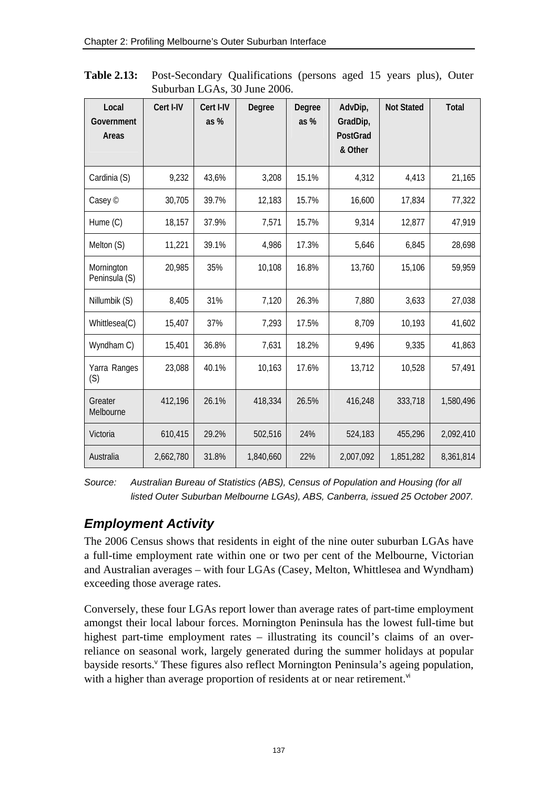| Local<br>Government<br>Areas | Cert I-IV | Cert I-IV<br>as % | Degree    | Degree<br>as % | AdvDip,<br>GradDip,<br>PostGrad<br>& Other | <b>Not Stated</b> | <b>Total</b> |
|------------------------------|-----------|-------------------|-----------|----------------|--------------------------------------------|-------------------|--------------|
| Cardinia (S)                 | 9,232     | 43,6%             | 3,208     | 15.1%          | 4,312                                      | 4,413             | 21,165       |
| Casey <sup>©</sup>           | 30,705    | 39.7%             | 12,183    | 15.7%          | 16,600                                     | 17,834            | 77,322       |
| Hume (C)                     | 18,157    | 37.9%             | 7,571     | 15.7%          | 9,314                                      | 12,877            | 47,919       |
| Melton (S)                   | 11,221    | 39.1%             | 4,986     | 17.3%          | 5,646                                      | 6,845             | 28,698       |
| Mornington<br>Peninsula (S)  | 20,985    | 35%               | 10,108    | 16.8%          | 13,760                                     | 15,106            | 59,959       |
| Nillumbik (S)                | 8,405     | 31%               | 7,120     | 26.3%          | 7,880                                      | 3,633             | 27,038       |
| Whittlesea(C)                | 15,407    | 37%               | 7,293     | 17.5%          | 8,709                                      | 10,193            | 41,602       |
| Wyndham C)                   | 15,401    | 36.8%             | 7,631     | 18.2%          | 9,496                                      | 9,335             | 41,863       |
| Yarra Ranges<br>(S)          | 23,088    | 40.1%             | 10,163    | 17.6%          | 13,712                                     | 10,528            | 57,491       |
| Greater<br>Melbourne         | 412,196   | 26.1%             | 418,334   | 26.5%          | 416,248                                    | 333,718           | 1,580,496    |
| Victoria                     | 610,415   | 29.2%             | 502,516   | 24%            | 524,183                                    | 455,296           | 2,092,410    |
| Australia                    | 2,662,780 | 31.8%             | 1,840,660 | 22%            | 2,007,092                                  | 1,851,282         | 8,361,814    |

**Table 2.13:** Post-Secondary Qualifications (persons aged 15 years plus), Outer Suburban LGAs, 30 June 2006.

*Source: Australian Bureau of Statistics (ABS), Census of Population and Housing (for all listed Outer Suburban Melbourne LGAs), ABS, Canberra, issued 25 October 2007.* 

## *Employment Activity*

The 2006 Census shows that residents in eight of the nine outer suburban LGAs have a full-time employment rate within one or two per cent of the Melbourne, Victorian and Australian averages – with four LGAs (Casey, Melton, Whittlesea and Wyndham) exceeding those average rates.

Conversely, these four LGAs report lower than average rates of part-time employment amongst their local labour forces. Mornington Peninsula has the lowest full-time but highest part-time employment rates – illustrating its council's claims of an overreliance on seasonal work, largely generated during the summer holidays at popular bayside resorts.<sup>V</sup> These figures also reflect Mornington Peninsula's ageing population, with a higher than average proportion of residents at or near retirement. $\mathbf{v}^{\mathsf{N}}$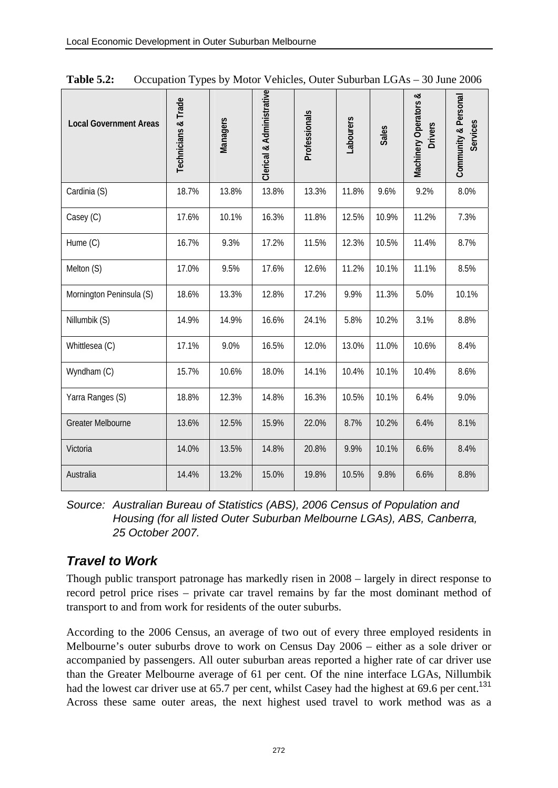| <b>Local Government Areas</b> | <b>Technicians &amp; Trade</b> | Managers | Clerical & Administrative | Professionals | Labourers | Sales | Machinery Operators &<br><b>Drivers</b> | Community & Personal<br>Services |
|-------------------------------|--------------------------------|----------|---------------------------|---------------|-----------|-------|-----------------------------------------|----------------------------------|
| Cardinia (S)                  | 18.7%                          | 13.8%    | 13.8%                     | 13.3%         | 11.8%     | 9.6%  | 9.2%                                    | 8.0%                             |
| Casey (C)                     | 17.6%                          | 10.1%    | 16.3%                     | 11.8%         | 12.5%     | 10.9% | 11.2%                                   | 7.3%                             |
| Hume (C)                      | 16.7%                          | 9.3%     | 17.2%                     | 11.5%         | 12.3%     | 10.5% | 11.4%                                   | 8.7%                             |
| Melton (S)                    | 17.0%                          | 9.5%     | 17.6%                     | 12.6%         | 11.2%     | 10.1% | 11.1%                                   | 8.5%                             |
| Mornington Peninsula (S)      | 18.6%                          | 13.3%    | 12.8%                     | 17.2%         | 9.9%      | 11.3% | 5.0%                                    | 10.1%                            |
| Nillumbik (S)                 | 14.9%                          | 14.9%    | 16.6%                     | 24.1%         | 5.8%      | 10.2% | 3.1%                                    | 8.8%                             |
| Whittlesea (C)                | 17.1%                          | 9.0%     | 16.5%                     | 12.0%         | 13.0%     | 11.0% | 10.6%                                   | 8.4%                             |
| Wyndham (C)                   | 15.7%                          | 10.6%    | 18.0%                     | 14.1%         | 10.4%     | 10.1% | 10.4%                                   | 8.6%                             |
| Yarra Ranges (S)              | 18.8%                          | 12.3%    | 14.8%                     | 16.3%         | 10.5%     | 10.1% | 6.4%                                    | 9.0%                             |
| <b>Greater Melbourne</b>      | 13.6%                          | 12.5%    | 15.9%                     | 22.0%         | 8.7%      | 10.2% | 6.4%                                    | 8.1%                             |
| Victoria                      | 14.0%                          | 13.5%    | 14.8%                     | 20.8%         | 9.9%      | 10.1% | 6.6%                                    | 8.4%                             |
| Australia                     | 14.4%                          | 13.2%    | 15.0%                     | 19.8%         | 10.5%     | 9.8%  | 6.6%                                    | 8.8%                             |

**Table 5.2:** Occupation Types by Motor Vehicles, Outer Suburban LGAs – 30 June 2006

*Source: Australian Bureau of Statistics (ABS), 2006 Census of Population and Housing (for all listed Outer Suburban Melbourne LGAs), ABS, Canberra, 25 October 2007.* 

## *Travel to Work*

Though public transport patronage has markedly risen in 2008 – largely in direct response to record petrol price rises – private car travel remains by far the most dominant method of transport to and from work for residents of the outer suburbs.

According to the 2006 Census, an average of two out of every three employed residents in Melbourne's outer suburbs drove to work on Census Day 2006 – either as a sole driver or accompanied by passengers. All outer suburban areas reported a higher rate of car driver use than the Greater Melbourne average of 61 per cent. Of the nine interface LGAs, Nillumbik had the lowest car driver use at 65.7 per cent, whilst Casey had the highest at 69.6 per cent.<sup>131</sup> Across these same outer areas, the next highest used travel to work method was as a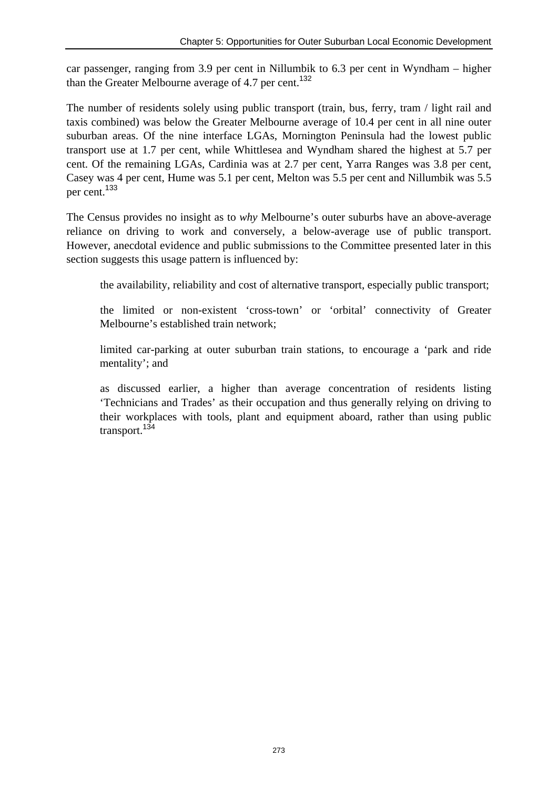car passenger, ranging from 3.9 per cent in Nillumbik to 6.3 per cent in Wyndham – higher than the Greater Melbourne average of 4.7 per cent.<sup>132</sup>

The number of residents solely using public transport (train, bus, ferry, tram / light rail and taxis combined) was below the Greater Melbourne average of 10.4 per cent in all nine outer suburban areas. Of the nine interface LGAs, Mornington Peninsula had the lowest public transport use at 1.7 per cent, while Whittlesea and Wyndham shared the highest at 5.7 per cent. Of the remaining LGAs, Cardinia was at 2.7 per cent, Yarra Ranges was 3.8 per cent, Casey was 4 per cent, Hume was 5.1 per cent, Melton was 5.5 per cent and Nillumbik was 5.5 per cent.<sup>133</sup>

The Census provides no insight as to *why* Melbourne's outer suburbs have an above-average reliance on driving to work and conversely, a below-average use of public transport. However, anecdotal evidence and public submissions to the Committee presented later in this section suggests this usage pattern is influenced by:

the availability, reliability and cost of alternative transport, especially public transport;

the limited or non-existent 'cross-town' or 'orbital' connectivity of Greater Melbourne's established train network;

limited car-parking at outer suburban train stations, to encourage a 'park and ride mentality'; and

as discussed earlier, a higher than average concentration of residents listing 'Technicians and Trades' as their occupation and thus generally relying on driving to their workplaces with tools, plant and equipment aboard, rather than using public transport.<sup>134</sup>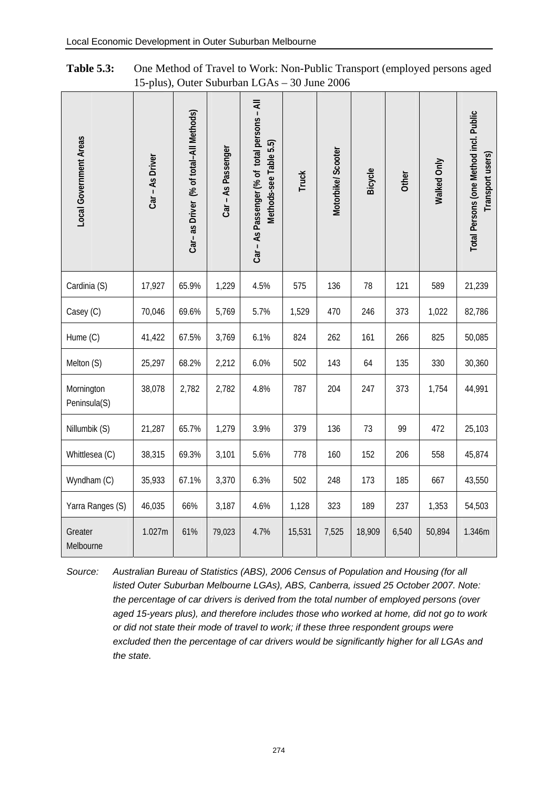| Local Government Areas     | Car - As Driver | Car- as Driver (% of total-All Methods) | Car - As Passenger | Car - As Passenger (% of total persons - All<br>Methods-see Table 5.5) | <b>Truck</b> | Motorbike/Scooter | <b>Bicycle</b> | Other | Walked Only | Total Persons (one Method incl. Public<br>Transport users) |
|----------------------------|-----------------|-----------------------------------------|--------------------|------------------------------------------------------------------------|--------------|-------------------|----------------|-------|-------------|------------------------------------------------------------|
| Cardinia (S)               | 17,927          | 65.9%                                   | 1,229              | 4.5%                                                                   | 575          | 136               | 78             | 121   | 589         | 21,239                                                     |
| Casey (C)                  | 70,046          | 69.6%                                   | 5,769              | 5.7%                                                                   | 1,529        | 470               | 246            | 373   | 1,022       | 82,786                                                     |
| Hume (C)                   | 41,422          | 67.5%                                   | 3,769              | 6.1%                                                                   | 824          | 262               | 161            | 266   | 825         | 50,085                                                     |
| Melton (S)                 | 25,297          | 68.2%                                   | 2,212              | 6.0%                                                                   | 502          | 143               | 64             | 135   | 330         | 30,360                                                     |
| Mornington<br>Peninsula(S) | 38,078          | 2,782                                   | 2,782              | 4.8%                                                                   | 787          | 204               | 247            | 373   | 1,754       | 44,991                                                     |
| Nillumbik (S)              | 21,287          | 65.7%                                   | 1,279              | 3.9%                                                                   | 379          | 136               | 73             | 99    | 472         | 25,103                                                     |
| Whittlesea (C)             | 38,315          | 69.3%                                   | 3,101              | 5.6%                                                                   | 778          | 160               | 152            | 206   | 558         | 45,874                                                     |
| Wyndham (C)                | 35,933          | 67.1%                                   | 3,370              | 6.3%                                                                   | 502          | 248               | 173            | 185   | 667         | 43,550                                                     |
| Yarra Ranges (S)           | 46,035          | 66%                                     | 3,187              | 4.6%                                                                   | 1,128        | 323               | 189            | 237   | 1,353       | 54,503                                                     |
| Greater<br>Melbourne       | 1.027m          | 61%                                     | 79,023             | 4.7%                                                                   | 15,531       | 7,525             | 18,909         | 6,540 | 50,894      | 1.346m                                                     |

**Table 5.3:** One Method of Travel to Work: Non-Public Transport (employed persons aged 15-plus), Outer Suburban LGAs – 30 June 2006

*Source: Australian Bureau of Statistics (ABS), 2006 Census of Population and Housing (for all listed Outer Suburban Melbourne LGAs), ABS, Canberra, issued 25 October 2007. Note: the percentage of car drivers is derived from the total number of employed persons (over aged 15-years plus), and therefore includes those who worked at home, did not go to work or did not state their mode of travel to work; if these three respondent groups were excluded then the percentage of car drivers would be significantly higher for all LGAs and the state.*